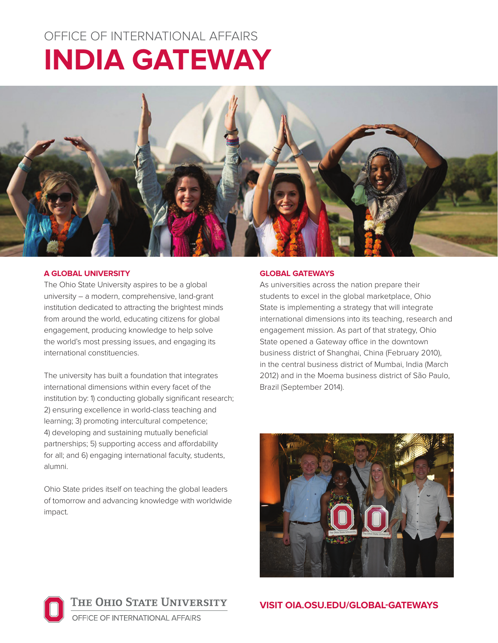# OFFICE OF INTERNATIONAL AFFAIRS **INDIA GATEWAY**



## **A GLOBAL UNIVERSITY**

The Ohio State University aspires to be a global university – a modern, comprehensive, land-grant institution dedicated to attracting the brightest minds from around the world, educating citizens for global engagement, producing knowledge to help solve the world's most pressing issues, and engaging its international constituencies.

The university has built a foundation that integrates international dimensions within every facet of the institution by: 1) conducting globally significant research; 2) ensuring excellence in world-class teaching and learning; 3) promoting intercultural competence; 4) developing and sustaining mutually beneficial partnerships; 5) supporting access and affordability for all; and 6) engaging international faculty, students, alumni.

Ohio State prides itself on teaching the global leaders of tomorrow and advancing knowledge with worldwide impact.

## **GLOBAL GATEWAYS**

As universities across the nation prepare their students to excel in the global marketplace, Ohio State is implementing a strategy that will integrate international dimensions into its teaching, research and engagement mission. As part of that strategy, Ohio State opened a Gateway office in the downtown business district of Shanghai, China (February 2010), in the central business district of Mumbai, India (March 2012) and in the Moema business district of São Paulo, Brazil (September 2014).





**VISIT OIA.OSU.EDU/GLOBAL-GATEWAYS**